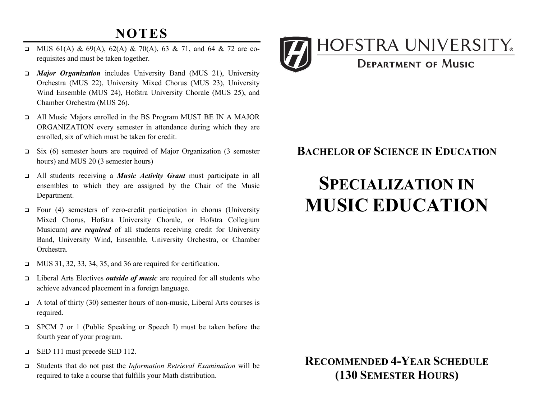## **NOTES**

- MUS 61(A) & 69(A), 62(A) & 70(A), 63 & 71, and 64 & 72 are corequisites and must be taken together.
- • *Major Organization* includes University Band (MUS 21), University Orchestra (MUS 22), University Mixed Chorus (MUS 23), University Wind Ensemble (MUS 24), Hofstra University Chorale (MUS 25), and Chamber Orchestra (MUS 26).
- • All Music Majors enrolled in the BS Program MUST BE IN A MAJOR ORGANIZATION every semester in attendance during which they are enrolled, six of which must be taken for credit.
- $\Box$  Six (6) semester hours are required of Major Organization (3 semester hours) and MUS 20 (3 semester hours)
- • All students receiving a *Music Activity Grant* must participate in all ensembles to which they are assigned by the Chair of the Music Department.
- Mixed Chorus, Hofstra University Chorale, or Hofstra Collegium Musicum) *are required* of all students receiving credit for University Band, University Wind, Ensemble, University Orchestra, or Chamber  $\Box$  Four (4) semesters of zero-credit participation in chorus (University Orchestra.
- $\Box$  MUS 31, 32, 33, 34, 35, and 36 are required for certification.
- • Liberal Arts Electives *outside of music* are required for all students who achieve advanced placement in a foreign language.
- $\Box$  A total of thirty (30) semester hours of non-music, Liberal Arts courses is required.
- □ SPCM 7 or 1 (Public Speaking or Speech I) must be taken before the fourth year of your program.
- **ED 111 must precede SED 112.**
- • Students that do not past the *Information Retrieval Examination* will be required to take a course that fulfills your Math distribution.



### **BACHELOR OF SCIENCE IN EDUCATION**

# **SPECIALIZATION IN MUSIC EDUCATION**

### **RECOMMENDED 4-YEAR SCHEDULE (130 SEMESTER HOURS)**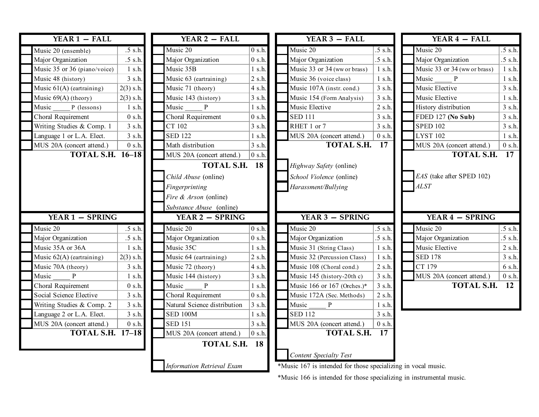|  | YEAR $1 - \text{FALL}$       |             | YEAR 2 - FALL                                  |                   | YEAR $3$ – FALL                                               |                        |                         | YEAR $4$ – FALL              |                  |
|--|------------------------------|-------------|------------------------------------------------|-------------------|---------------------------------------------------------------|------------------------|-------------------------|------------------------------|------------------|
|  | Music 20 (ensemble)          | $.5$ s.h.   | Music 20                                       | 0 s.h.            | Music 20                                                      | $.5$ s.h.              |                         | Music 20                     | $.5$ s.h.        |
|  | Major Organization           | $.5$ s.h.   | Major Organization                             | $0$ s.h.          | Major Organization                                            | $.5$ s.h.              |                         | Major Organization           | $.5$ s.h.        |
|  | Music 35 or 36 (piano/voice) | 1 s.h.      | Music 35B                                      | $1$ s.h.          | Music 33 or 34 (ww or brass)                                  | 1 s.h.                 |                         | Music 33 or 34 (ww or brass) | 1 s.h.           |
|  | Music 48 (history)           | 3 s.h.      | Music 63 (eartraining)                         | 2 s.h.            | Music 36 (voice class)                                        | 1 s.h.                 |                         | Music<br>P                   | 1 s.h.           |
|  | Music $61(A)$ (eartraining)  | $2(3)$ s.h. | Music 71 (theory)                              | 4 s.h.            | Music 107A (instr. cond.)                                     | 3 s.h.                 |                         | Music Elective               | 3 s.h.           |
|  | Music 69(A) (theory)         | $2(3)$ s.h. | Music 143 (history)                            | 3 s.h.            | Music 154 (Form Analysis)                                     | 3 s.h.                 |                         | Music Elective               | 1 s.h.           |
|  | Music<br>P (lessons)         | 1 s.h.      | Music<br>P                                     | $1$ s.h.          | Music Elective                                                | 2 s.h.                 |                         | History distribution         | 3 s.h.           |
|  | Choral Requirement           | 0 s.h.      | Choral Requirement                             | 0 s.h.            | <b>SED 111</b>                                                | 3 s.h.                 |                         | FDED 127 (No Sub)            | 3 s.h.           |
|  | Writing Studies & Comp. 1    | 3 s.h.      | CT 102                                         | 3 s.h.            | RHET 1 or 7                                                   | 3 s.h.                 |                         | <b>SPED 102</b>              | 3 s.h.           |
|  | Language 1 or L.A. Elect.    | 3 s.h.      | <b>SED 122</b>                                 | 1 s.h.            | MUS 20A (concert attend.)                                     | 0 s.h.                 |                         | <b>LYST 102</b>              | 1 s.h.           |
|  | MUS 20A (concert attend.)    | 0 s.h.      | Math distribution                              | 3 s.h.            | <b>TOTAL S.H.</b>                                             | 17                     |                         | MUS 20A (concert attend.)    | 0 s.h.           |
|  | <b>TOTAL S.H. 16-18</b>      |             | MUS 20A (concert attend.)<br>$ 0 \text{ s.h.}$ |                   |                                                               |                        | <b>TOTAL S.H.</b><br>17 |                              |                  |
|  |                              |             | <b>18</b><br><b>TOTAL S.H.</b>                 |                   | Highway Safety (online)                                       |                        |                         |                              |                  |
|  |                              |             | Child Abuse (online)                           |                   | School Violence (online)                                      |                        |                         | EAS (take after SPED 102)    |                  |
|  |                              |             | Fingerprinting                                 |                   | Harassment/Bullying                                           |                        | <b>ALST</b>             |                              |                  |
|  |                              |             | Fire & Arson (online)                          |                   |                                                               |                        |                         |                              |                  |
|  |                              |             | Substance Abuse (online)                       |                   |                                                               |                        |                         |                              |                  |
|  | <b>YEAR 1 - SPRING</b>       |             | YEAR 2 - SPRING                                |                   |                                                               | <b>YEAR 3 - SPRING</b> |                         | <b>YEAR 4 - SPRING</b>       |                  |
|  | Music 20                     | $.5$ s.h.   | Music 20                                       | 0 s.h.            | Music 20                                                      | $.5$ s.h.              |                         | Music 20                     | $.5$ s.h.        |
|  | Major Organization           | .5 s.h.     | Major Organization                             | 0 s.h.            | Major Organization                                            | $.5$ s.h.              |                         | Major Organization           | $.5$ s.h.        |
|  | Music 35A or 36A             | 1 s.h.      | Music 35C                                      | 1 s.h.            | Music 31 (String Class)                                       | $1$ s.h.               |                         | Music Elective               | $2 \text{ s.h.}$ |
|  | Music 62(A) (eartraining)    | $2(3)$ s.h. | Music 64 (eartraining)                         | $ 2 \text{ s.h.}$ | Music 32 (Percussion Class)                                   | $1$ s.h.               |                         | <b>SED 178</b>               | 3 s.h.           |
|  | Music 70A (theory)           | 3 s.h.      | Music 72 (theory)                              | 4 s.h.            | Music 108 (Choral cond.)                                      | 2 s.h.                 |                         | CT 179                       | 6 s.h.           |
|  | Music<br>P                   | 1 s.h.      | Music 144 (history)                            | $3 \,$ s.h.       | Music 145 (history-20th c)                                    | 3 s.h.                 |                         | MUS 20A (concert attend.)    | 0 s.h.           |
|  | Choral Requirement           | 0 s.h.      | Music<br>P                                     | 1 s.h.            | Music 166 or 167 (Orches.)*                                   | 3 s.h.                 |                         | <b>TOTAL S.H.</b>            | <b>12</b>        |
|  | Social Science Elective      | 3 s.h.      | Choral Requirement                             | 0 s.h.            | Music 172A (Sec. Methods)                                     | 2 s.h.                 |                         |                              |                  |
|  | Writing Studies & Comp. 2    | 3 s.h.      | Natural Science distribution                   | 3 s.h.            | Music<br>$\mathbf{P}$                                         | 1 s.h.                 |                         |                              |                  |
|  | Language 2 or L.A. Elect.    | 3 s.h.      | <b>SED 100M</b>                                | $1$ s.h.          | <b>SED 112</b>                                                | 3 s.h.                 |                         |                              |                  |
|  | MUS 20A (concert attend.)    | 0 s.h.      | <b>SED 151</b>                                 | 3 s.h.            | MUS 20A (concert attend.)                                     | 0 s.h.                 |                         |                              |                  |
|  | <b>TOTAL S.H. 17-18</b>      |             | MUS 20A (concert attend.)                      | 0 s.h.            | <b>TOTAL S.H.</b>                                             | 17                     |                         |                              |                  |
|  |                              |             | TOTAL S.H. 18                                  |                   |                                                               |                        |                         |                              |                  |
|  |                              |             |                                                |                   | Content Specialty Test                                        |                        |                         |                              |                  |
|  |                              |             | <b>Information Retrieval Exam</b>              |                   | *Music 167 is intended for those specializing in vocal music. |                        |                         |                              |                  |

\*Music 166 is intended for those specializing in instrumental music.